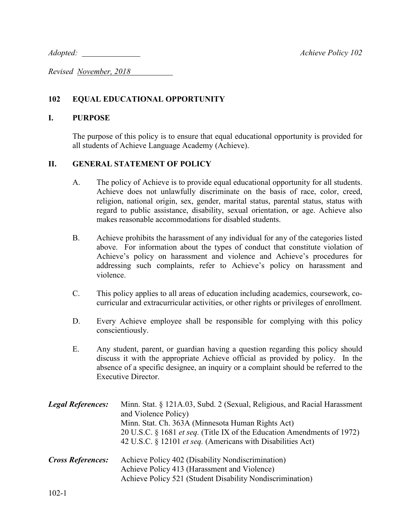*Adopted: Achieve Policy 102*

*Revised November, 2018* 

## **102 EQUAL EDUCATIONAL OPPORTUNITY**

## **I. PURPOSE**

The purpose of this policy is to ensure that equal educational opportunity is provided for all students of Achieve Language Academy (Achieve).

## **II. GENERAL STATEMENT OF POLICY**

- A. The policy of Achieve is to provide equal educational opportunity for all students. Achieve does not unlawfully discriminate on the basis of race, color, creed, religion, national origin, sex, gender, marital status, parental status, status with regard to public assistance, disability, sexual orientation, or age. Achieve also makes reasonable accommodations for disabled students.
- B. Achieve prohibits the harassment of any individual for any of the categories listed above. For information about the types of conduct that constitute violation of Achieve's policy on harassment and violence and Achieve's procedures for addressing such complaints, refer to Achieve's policy on harassment and violence.
- C. This policy applies to all areas of education including academics, coursework, cocurricular and extracurricular activities, or other rights or privileges of enrollment.
- D. Every Achieve employee shall be responsible for complying with this policy conscientiously.
- E. Any student, parent, or guardian having a question regarding this policy should discuss it with the appropriate Achieve official as provided by policy. In the absence of a specific designee, an inquiry or a complaint should be referred to the Executive Director.

| <b>Legal References:</b> | Minn. Stat. § 121A.03, Subd. 2 (Sexual, Religious, and Racial Harassment<br>and Violence Policy)<br>Minn. Stat. Ch. 363A (Minnesota Human Rights Act)<br>20 U.S.C. § 1681 <i>et seq.</i> (Title IX of the Education Amendments of 1972)<br>42 U.S.C. § 12101 et seq. (Americans with Disabilities Act) |
|--------------------------|--------------------------------------------------------------------------------------------------------------------------------------------------------------------------------------------------------------------------------------------------------------------------------------------------------|
| <b>Cross References:</b> | Achieve Policy 402 (Disability Nondiscrimination)<br>Achieve Policy 413 (Harassment and Violence)<br>Achieve Policy 521 (Student Disability Nondiscrimination)                                                                                                                                         |